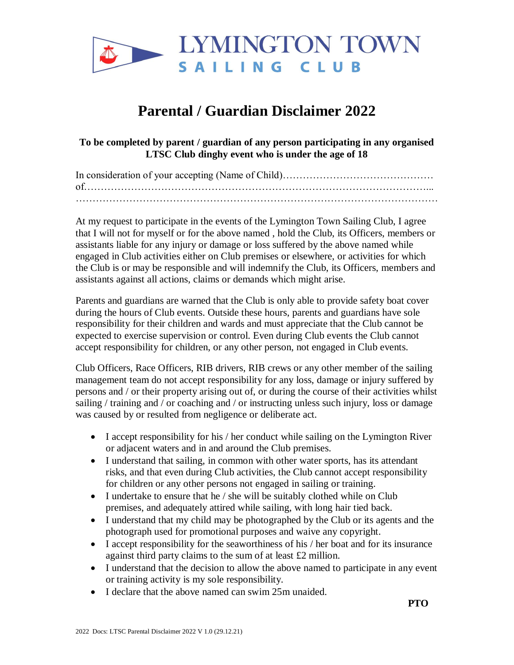

## **Parental / Guardian Disclaimer 2022**

**To be completed by parent / guardian of any person participating in any organised LTSC Club dinghy event who is under the age of 18**

At my request to participate in the events of the Lymington Town Sailing Club, I agree that I will not for myself or for the above named , hold the Club, its Officers, members or assistants liable for any injury or damage or loss suffered by the above named while engaged in Club activities either on Club premises or elsewhere, or activities for which the Club is or may be responsible and will indemnify the Club, its Officers, members and assistants against all actions, claims or demands which might arise.

Parents and guardians are warned that the Club is only able to provide safety boat cover during the hours of Club events. Outside these hours, parents and guardians have sole responsibility for their children and wards and must appreciate that the Club cannot be expected to exercise supervision or control. Even during Club events the Club cannot accept responsibility for children, or any other person, not engaged in Club events.

Club Officers, Race Officers, RIB drivers, RIB crews or any other member of the sailing management team do not accept responsibility for any loss, damage or injury suffered by persons and / or their property arising out of, or during the course of their activities whilst sailing / training and / or coaching and / or instructing unless such injury, loss or damage was caused by or resulted from negligence or deliberate act.

- I accept responsibility for his / her conduct while sailing on the Lymington River or adjacent waters and in and around the Club premises.
- I understand that sailing, in common with other water sports, has its attendant risks, and that even during Club activities, the Club cannot accept responsibility for children or any other persons not engaged in sailing or training.
- I undertake to ensure that he / she will be suitably clothed while on Club premises, and adequately attired while sailing, with long hair tied back.
- I understand that my child may be photographed by the Club or its agents and the photograph used for promotional purposes and waive any copyright.
- I accept responsibility for the seaworthiness of his / her boat and for its insurance against third party claims to the sum of at least £2 million.
- I understand that the decision to allow the above named to participate in any event or training activity is my sole responsibility.
- I declare that the above named can swim 25m unaided.